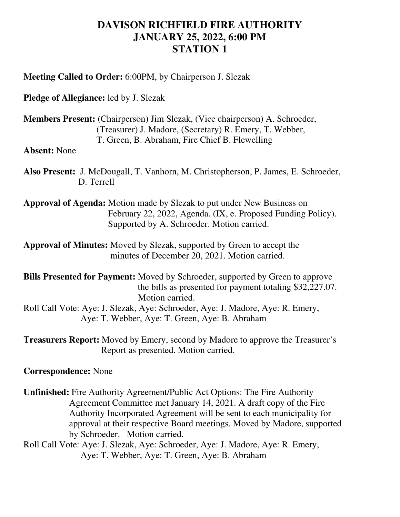## **DAVISON RICHFIELD FIRE AUTHORITY JANUARY 25, 2022, 6:00 PM STATION 1**

**Meeting Called to Order:** 6:00PM, by Chairperson J. Slezak

**Pledge of Allegiance:** led by J. Slezak

**Members Present:** (Chairperson) Jim Slezak, (Vice chairperson) A. Schroeder, (Treasurer) J. Madore, (Secretary) R. Emery, T. Webber, T. Green, B. Abraham, Fire Chief B. Flewelling

**Absent:** None

**Also Present:** J. McDougall, T. Vanhorn, M. Christopherson, P. James, E. Schroeder, D. Terrell

**Approval of Agenda:** Motion made by Slezak to put under New Business on February 22, 2022, Agenda. (IX, e. Proposed Funding Policy). Supported by A. Schroeder. Motion carried.

**Approval of Minutes:** Moved by Slezak, supported by Green to accept the minutes of December 20, 2021. Motion carried.

**Bills Presented for Payment:** Moved by Schroeder, supported by Green to approve the bills as presented for payment totaling \$32,227.07. Motion carried. Roll Call Vote: Aye: J. Slezak, Aye: Schroeder, Aye: J. Madore, Aye: R. Emery,

Aye: T. Webber, Aye: T. Green, Aye: B. Abraham

**Treasurers Report:** Moved by Emery, second by Madore to approve the Treasurer's Report as presented. Motion carried.

## **Correspondence:** None

**Unfinished:** Fire Authority Agreement/Public Act Options: The Fire Authority Agreement Committee met January 14, 2021. A draft copy of the Fire Authority Incorporated Agreement will be sent to each municipality for approval at their respective Board meetings. Moved by Madore, supported by Schroeder. Motion carried. Roll Call Vote: Aye: J. Slezak, Aye: Schroeder, Aye: J. Madore, Aye: R. Emery,

Aye: T. Webber, Aye: T. Green, Aye: B. Abraham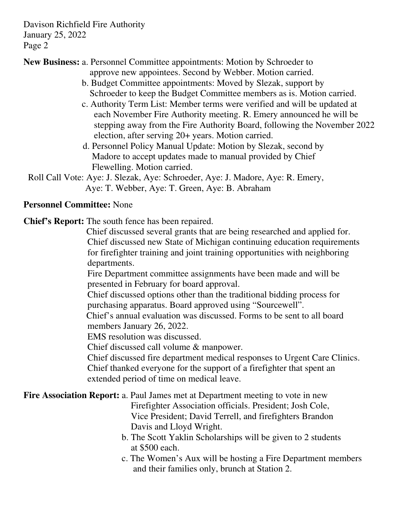Davison Richfield Fire Authority January 25, 2022 Page 2

**New Business:** a. Personnel Committee appointments: Motion by Schroeder to

approve new appointees. Second by Webber. Motion carried.

- b. Budget Committee appointments: Moved by Slezak, support by Schroeder to keep the Budget Committee members as is. Motion carried.
- c. Authority Term List: Member terms were verified and will be updated at each November Fire Authority meeting. R. Emery announced he will be stepping away from the Fire Authority Board, following the November 2022 election, after serving 20+ years. Motion carried.
- d. Personnel Policy Manual Update: Motion by Slezak, second by Madore to accept updates made to manual provided by Chief Flewelling. Motion carried.
- Roll Call Vote: Aye: J. Slezak, Aye: Schroeder, Aye: J. Madore, Aye: R. Emery, Aye: T. Webber, Aye: T. Green, Aye: B. Abraham

## **Personnel Committee:** None

**Chief's Report:** The south fence has been repaired.

 Chief discussed several grants that are being researched and applied for. Chief discussed new State of Michigan continuing education requirements for firefighter training and joint training opportunities with neighboring departments.

 Fire Department committee assignments have been made and will be presented in February for board approval.

 Chief discussed options other than the traditional bidding process for purchasing apparatus. Board approved using "Sourcewell".

 Chief's annual evaluation was discussed. Forms to be sent to all board members January 26, 2022.

EMS resolution was discussed.

Chief discussed call volume & manpower.

 Chief discussed fire department medical responses to Urgent Care Clinics. Chief thanked everyone for the support of a firefighter that spent an extended period of time on medical leave.

## **Fire Association Report:** a. Paul James met at Department meeting to vote in new

 Firefighter Association officials. President; Josh Cole, Vice President; David Terrell, and firefighters Brandon Davis and Lloyd Wright.

- b. The Scott Yaklin Scholarships will be given to 2 students at \$500 each.
- c. The Women's Aux will be hosting a Fire Department members and their families only, brunch at Station 2.